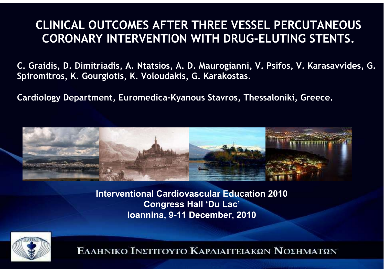#### **CLINICAL OUTCOMES AFTER THREE VESSEL PERCUTANEOUS CORONARY INTERVENTION WITH DRUG-ELUTING STENTS.**

**C. Graidis, D. Dimitriadis, A. Ntatsios, A. D. Maurogianni, V. Psifos, V. Karasavvides, G. Spiromitros, K. Gourgiotis, K. Voloudakis, G. Karakostas.** 

**Cardiology Department, Euromedica-Kyanous Stavros, Thessaloníki, Greece.**



**Interventional Cardiovascular Education 2010Congress Hall 'Du Lac'Ioannina, 9-11 December, 2010**

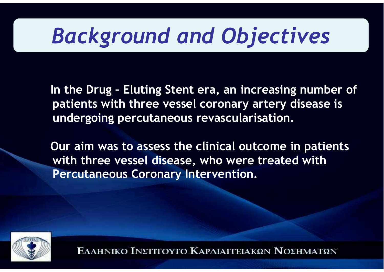# *Background and Objectives*

**In the Drug – Eluting Stent era, an increasing number of patients with three vessel coronary artery disease is undergoing percutaneous revascularisation.** 

**Our aim was to assess the clinical outcome in patients with three vessel disease, who were treated with Percutaneous Coronary Intervention.**

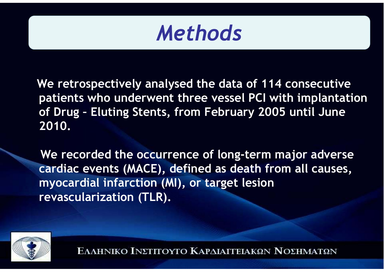## *Methods*

**We retrospectively analysed the data of 114 consecutive patients who underwent three vessel PCI with implantation of Drug – Eluting Stents, from February 2005 until June 2010.** 

**We recorded the occurrence of long-term major adverse cardiac events (MACE), defined as death from all causes, myocardial infarction (MI), or target lesion revascularization (TLR).** 

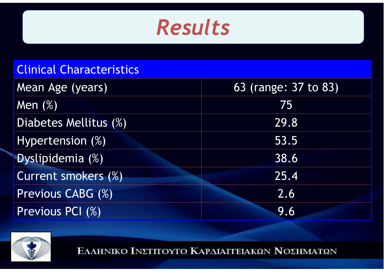### *Results*

#### Clinical Characteristics

| Mean Age (years)      | 63 (range: 37 to 83) |
|-----------------------|----------------------|
| Men $(%)$             | 75                   |
| Diabetes Mellitus (%) | 29.8                 |
| Hypertension (%)      | 53.5                 |
| Dyslipidemia (%)      | 38.6                 |
| Current smokers (%)   | 25.4                 |
| Previous CABG (%)     | 2.6                  |
| Previous PCI (%)      | 9.6                  |

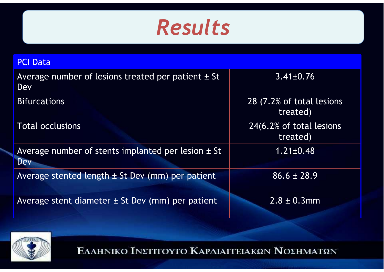

| <b>PCI Data</b>                                                      |                                       |
|----------------------------------------------------------------------|---------------------------------------|
| Average number of lesions treated per patient $\pm$ St<br><b>Dev</b> | $3.41 \pm 0.76$                       |
| <b>Bifurcations</b>                                                  | 28 (7.2% of total lesions<br>treated) |
| <b>Total occlusions</b>                                              | 24(6.2% of total lesions<br>treated)  |
| Average number of stents implanted per lesion $\pm$ St<br><b>Dev</b> | $1.21 \pm 0.48$                       |
| Average stented length $\pm$ St Dev (mm) per patient                 | $86.6 \pm 28.9$                       |
| Average stent diameter ± St Dev (mm) per patient                     | $2.8 \pm 0.3$ mm                      |

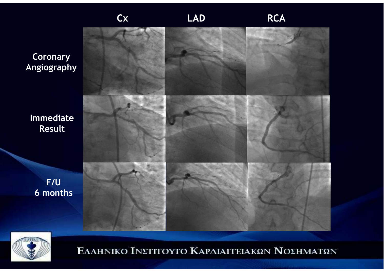**CoronaryAngiography**

**ImmediateResult**

> **F/U6 months**



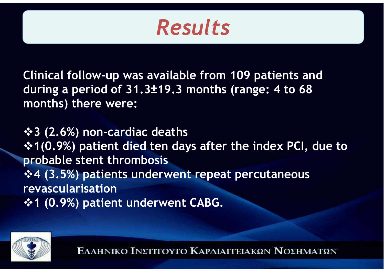### *Results*

**Clinical follow-up was available from 109 patients and during a period of 31.3±19.3 months (range: 4 to 68 months) there were:**

**3 (2.6%) non-cardiac deaths 1(0.9%) patient died ten days after the index PCI, due to probable stent thrombosis 4 (3.5%) patients underwent repeat percutaneousrevascularisation 1 (0.9%) patient underwent CABG.**